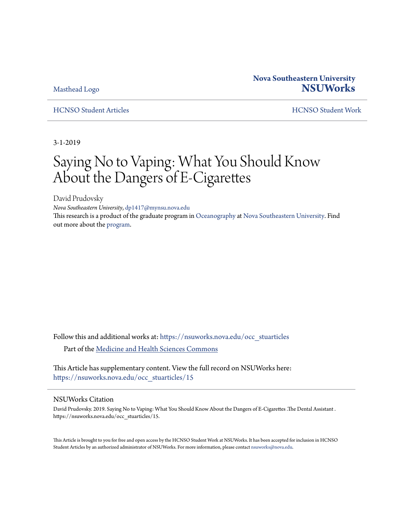[Masthead Logo](http://nsuworks.nova.edu/?utm_source=nsuworks.nova.edu%2Focc_stuarticles%2F15&utm_medium=PDF&utm_campaign=PDFCoverPages)

## **Nova Southeastern University [NSUWorks](https://nsuworks.nova.edu?utm_source=nsuworks.nova.edu%2Focc_stuarticles%2F15&utm_medium=PDF&utm_campaign=PDFCoverPages)**

[HCNSO Student Articles](https://nsuworks.nova.edu/occ_stuarticles?utm_source=nsuworks.nova.edu%2Focc_stuarticles%2F15&utm_medium=PDF&utm_campaign=PDFCoverPages) [HCNSO Student Work](https://nsuworks.nova.edu/occ_stupub?utm_source=nsuworks.nova.edu%2Focc_stuarticles%2F15&utm_medium=PDF&utm_campaign=PDFCoverPages)

3-1-2019

## Saying No to Vaping: What You Should Know About the Dangers of E-Cigarettes

David Prudovsky *Nova Southeastern University*, dp1417@mynsu.nova.edu This research is a product of the graduate program in [Oceanography](http://www.nova.edu/ocean/) at [Nova Southeastern University](http://www.nova.edu/). Find out more about the [program](http://www.nova.edu/ocean/academics/index.html).

Follow this and additional works at: [https://nsuworks.nova.edu/occ\\_stuarticles](https://nsuworks.nova.edu/occ_stuarticles?utm_source=nsuworks.nova.edu%2Focc_stuarticles%2F15&utm_medium=PDF&utm_campaign=PDFCoverPages) Part of the [Medicine and Health Sciences Commons](http://network.bepress.com/hgg/discipline/648?utm_source=nsuworks.nova.edu%2Focc_stuarticles%2F15&utm_medium=PDF&utm_campaign=PDFCoverPages)

This Article has supplementary content. View the full record on NSUWorks here: [https://nsuworks.nova.edu/occ\\_stuarticles/15](https://nsuworks.nova.edu/occ_stuarticles/15)

### NSUWorks Citation

David Prudovsky. 2019. Saying No to Vaping: What You Should Know About the Dangers of E-Cigarettes .The Dental Assistant . https://nsuworks.nova.edu/occ\_stuarticles/15.

This Article is brought to you for free and open access by the HCNSO Student Work at NSUWorks. It has been accepted for inclusion in HCNSO Student Articles by an authorized administrator of NSUWorks. For more information, please contact [nsuworks@nova.edu](mailto:nsuworks@nova.edu).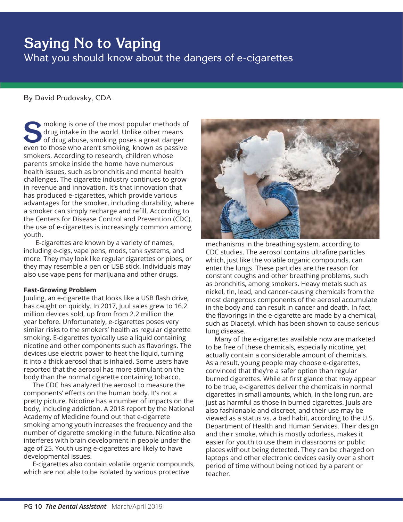# **Saying No to Vaping**

What you should know about the dangers of e-cigarettes

## By David Prudovsky, CDA

sample moking is one of the most popular methods of drug intake in the world. Unlike other means of drug abuse, smoking poses a great danger even to those who aren't smoking, known as passive smokers. According to research, children whose parents smoke inside the home have numerous health issues, such as bronchitis and mental health challenges. The cigarette industry continues to grow in revenue and innovation. It's that innovation that has produced e-cigarettes, which provide various advantages for the smoker, including durability, where a smoker can simply recharge and refill. According to the Centers for Disease Control and Prevention (CDC), the use of e-cigarettes is increasingly common among youth.

E-cigarettes are known by a variety of names, including e-cigs, vape pens, mods, tank systems, and more. They may look like regular cigarettes or pipes, or they may resemble a pen or USB stick. Individuals may also use vape pens for marijuana and other drugs.

### **Fast-Growing Problem**

Juuling, an e-cigarette that looks like a USB flash drive, has caught on quickly. In 2017, Juul sales grew to 16.2 million devices sold, up from from 2.2 million the year before. Unfortunately, e-cigarettes poses very similar risks to the smokers' health as regular cigarette smoking. E-cigarettes typically use a liquid containing nicotine and other components such as flavorings. The devices use electric power to heat the liquid, turning it into a thick aerosol that is inhaled. Some users have reported that the aerosol has more stimulant on the body than the normal cigarette containing tobacco.

The CDC has analyzed the aerosol to measure the components' effects on the human body. It's not a pretty picture. Nicotine has a number of impacts on the body, including addiction. A 2018 report by the National Academy of Medicine found out that e-cigarrete smoking among youth increases the frequency and the number of cigarette smoking in the future. Nicotine also interferes with brain development in people under the age of 25. Youth using e-cigarettes are likely to have developmental issues.

E-cigarettes also contain volatile organic compounds, which are not able to be isolated by various protective



mechanisms in the breathing system, according to CDC studies. The aerosol contains ultrafine particles which, just like the volatile organic compounds, can enter the lungs. These particles are the reason for constant coughs and other breathing problems, such as bronchitis, among smokers. Heavy metals such as nickel, tin, lead, and cancer-causing chemicals from the most dangerous components of the aerosol accumulate in the body and can result in cancer and death. In fact, the flavorings in the e-cigarette are made by a chemical, such as Diacetyl, which has been shown to cause serious lung disease.

Many of the e-cigarettes available now are marketed to be free of these chemicals, especially nicotine, yet actually contain a considerable amount of chemicals. As a result, young people may choose e-cigarettes, convinced that they're a safer option than regular burned cigarettes. While at first glance that may appear to be true, e-cigarettes deliver the chemicals in normal cigarettes in small amounts, which, in the long run, are just as harmful as those in burned cigarettes. Juuls are also fashionable and discreet, and their use may be viewed as a status vs. a bad habit, according to the U.S. Department of Health and Human Services. Their design and their smoke, which is mostly odorless, makes it easier for youth to use them in classrooms or public places without being detected. They can be charged on laptops and other electronic devices easily over a short period of time without being noticed by a parent or teacher.